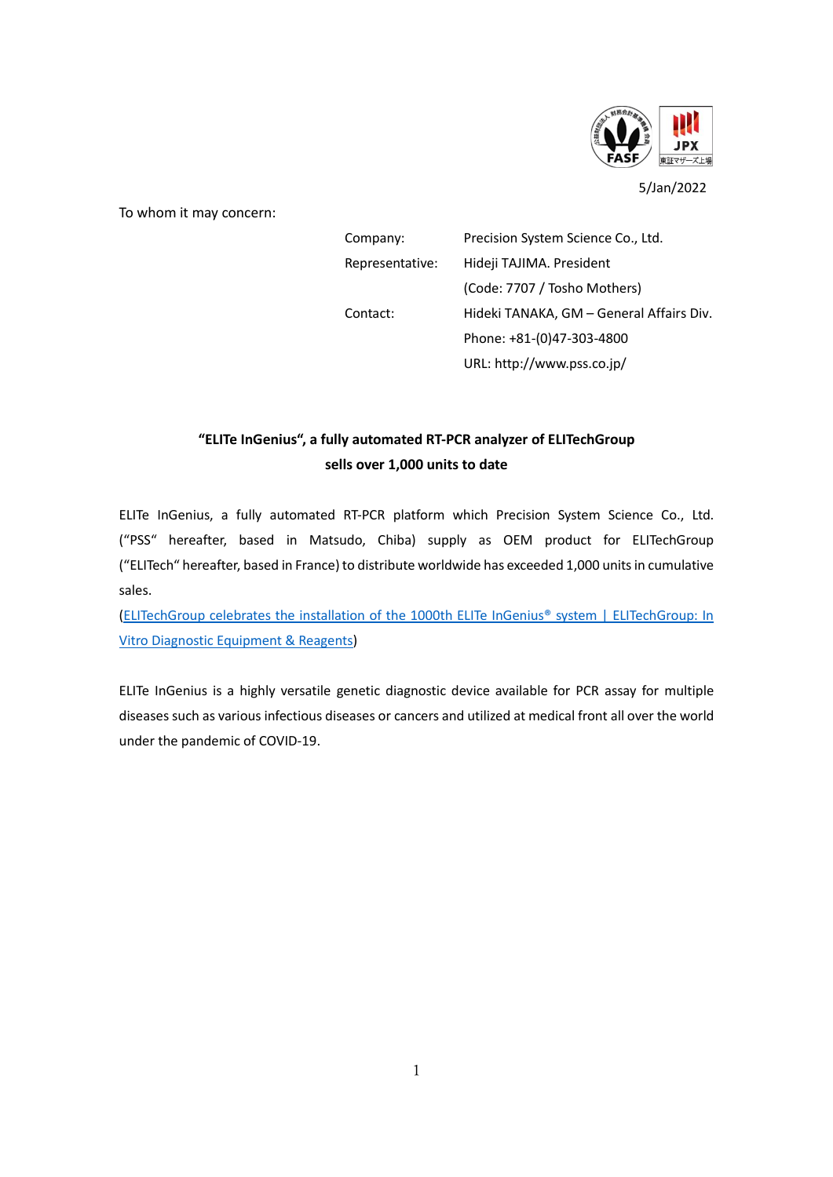

5/Jan/2022

To whom it may concern:

| Company:        | Precision System Science Co., Ltd.       |
|-----------------|------------------------------------------|
| Representative: | Hideji TAJIMA. President                 |
|                 | (Code: 7707 / Tosho Mothers)             |
| Contact:        | Hideki TANAKA, GM - General Affairs Div. |
|                 | Phone: +81-(0)47-303-4800                |
|                 | URL: http://www.pss.co.jp/               |

## **"ELITe InGenius", a fully automated RT-PCR analyzer of ELITechGroup sells over 1,000 units to date**

ELITe InGenius, a fully automated RT-PCR platform which Precision System Science Co., Ltd. ("PSS" hereafter, based in Matsudo, Chiba) supply as OEM product for ELITechGroup ("ELITech" hereafter, based in France) to distribute worldwide has exceeded 1,000 units in cumulative sales.

[\(ELITechGroup celebrates the installation of the 1000th ELITe InGenius® system | ELITechGroup: In](https://www.elitechgroup.com/news/elitechgroup-celebrates-the-installation-of-the-1000th-elite-ingenius-system)  [Vitro Diagnostic Equipment & Reagents\)](https://www.elitechgroup.com/news/elitechgroup-celebrates-the-installation-of-the-1000th-elite-ingenius-system)

ELITe InGenius is a highly versatile genetic diagnostic device available for PCR assay for multiple diseases such as various infectious diseases or cancers and utilized at medical front all over the world under the pandemic of COVID-19.